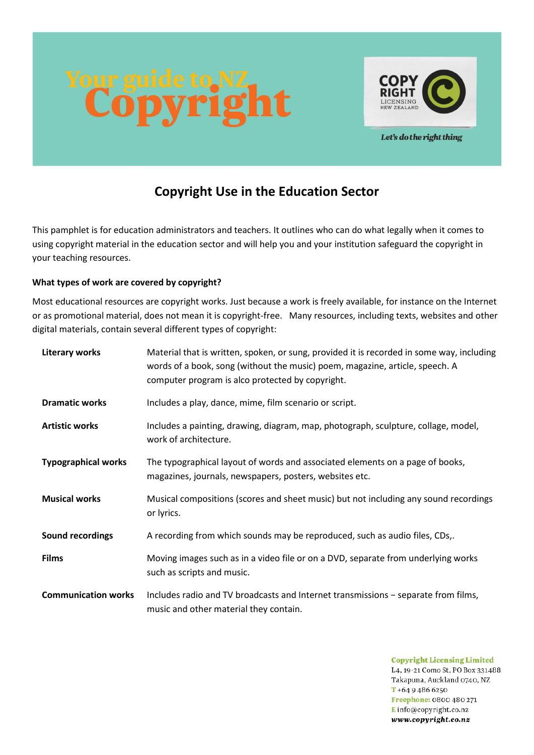



Let's do the right thing

# **Copyright Use in the Education Sector**

This pamphlet is for education administrators and teachers. It outlines who can do what legally when it comes to using copyright material in the education sector and will help you and your institution safeguard the copyright in your teaching resources.

## **What types of work are covered by copyright?**

Most educational resources are copyright works. Just because a work is freely available, for instance on the Internet or as promotional material, does not mean it is copyright-free. Many resources, including texts, websites and other digital materials, contain several different types of copyright:

| <b>Literary works</b>      | Material that is written, spoken, or sung, provided it is recorded in some way, including<br>words of a book, song (without the music) poem, magazine, article, speech. A<br>computer program is alco protected by copyright. |  |  |
|----------------------------|-------------------------------------------------------------------------------------------------------------------------------------------------------------------------------------------------------------------------------|--|--|
| <b>Dramatic works</b>      | Includes a play, dance, mime, film scenario or script.                                                                                                                                                                        |  |  |
| <b>Artistic works</b>      | Includes a painting, drawing, diagram, map, photograph, sculpture, collage, model,<br>work of architecture.                                                                                                                   |  |  |
| <b>Typographical works</b> | The typographical layout of words and associated elements on a page of books,<br>magazines, journals, newspapers, posters, websites etc.                                                                                      |  |  |
| <b>Musical works</b>       | Musical compositions (scores and sheet music) but not including any sound recordings<br>or lyrics.                                                                                                                            |  |  |
| Sound recordings           | A recording from which sounds may be reproduced, such as audio files, CDs,.                                                                                                                                                   |  |  |
| <b>Films</b>               | Moving images such as in a video file or on a DVD, separate from underlying works<br>such as scripts and music.                                                                                                               |  |  |
| <b>Communication works</b> | Includes radio and TV broadcasts and Internet transmissions - separate from films,<br>music and other material they contain.                                                                                                  |  |  |

**Copyright Licensing Limited** L4, 19-21 Como St, PO Box 331488. Takapuna, Auckland 0740, NZ  $T + 6494866250$ Freephone: 0800 480 271 Einfo@copyright.co.nz www.copyright.co.nz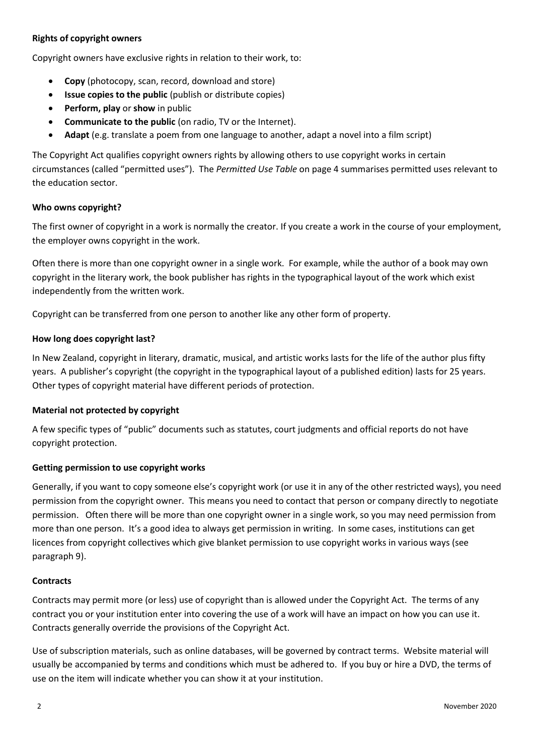## **Rights of copyright owners**

Copyright owners have exclusive rights in relation to their work, to:

- **Copy** (photocopy, scan, record, download and store)
- **Issue copies to the public** (publish or distribute copies)
- **Perform, play** or **show** in public
- **Communicate to the public** (on radio, TV or the Internet).
- **Adapt** (e.g. translate a poem from one language to another, adapt a novel into a film script)

The Copyright Act qualifies copyright owners rights by allowing others to use copyright works in certain circumstances (called "permitted uses"). The *Permitted Use Table* on page 4 summarises permitted uses relevant to the education sector.

## **Who owns copyright?**

The first owner of copyright in a work is normally the creator. If you create a work in the course of your employment, the employer owns copyright in the work.

Often there is more than one copyright owner in a single work. For example, while the author of a book may own copyright in the literary work, the book publisher has rights in the typographical layout of the work which exist independently from the written work.

Copyright can be transferred from one person to another like any other form of property.

#### **How long does copyright last?**

In New Zealand, copyright in literary, dramatic, musical, and artistic works lasts for the life of the author plus fifty years. A publisher's copyright (the copyright in the typographical layout of a published edition) lasts for 25 years. Other types of copyright material have different periods of protection.

## **Material not protected by copyright**

A few specific types of "public" documents such as statutes, court judgments and official reports do not have copyright protection.

## **Getting permission to use copyright works**

Generally, if you want to copy someone else's copyright work (or use it in any of the other restricted ways), you need permission from the copyright owner. This means you need to contact that person or company directly to negotiate permission. Often there will be more than one copyright owner in a single work, so you may need permission from more than one person. It's a good idea to always get permission in writing. In some cases, institutions can get licences from copyright collectives which give blanket permission to use copyright works in various ways (see paragraph 9).

#### **Contracts**

Contracts may permit more (or less) use of copyright than is allowed under the Copyright Act. The terms of any contract you or your institution enter into covering the use of a work will have an impact on how you can use it. Contracts generally override the provisions of the Copyright Act.

Use of subscription materials, such as online databases, will be governed by contract terms. Website material will usually be accompanied by terms and conditions which must be adhered to. If you buy or hire a DVD, the terms of use on the item will indicate whether you can show it at your institution.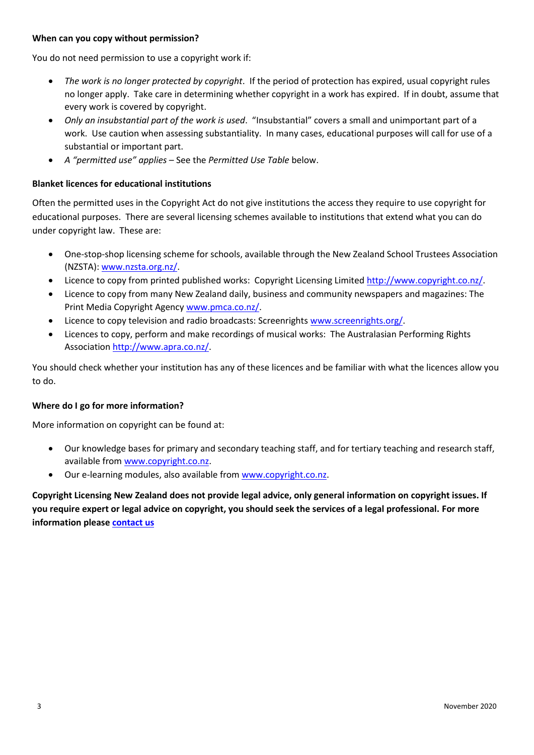## **When can you copy without permission?**

You do not need permission to use a copyright work if:

- *The work is no longer protected by copyright*. If the period of protection has expired, usual copyright rules no longer apply. Take care in determining whether copyright in a work has expired. If in doubt, assume that every work is covered by copyright.
- *Only an insubstantial part of the work is used*. "Insubstantial" covers a small and unimportant part of a work. Use caution when assessing substantiality. In many cases, educational purposes will call for use of a substantial or important part.
- *A "permitted use" applies* See the *Permitted Use Table* below.

## **Blanket licences for educational institutions**

Often the permitted uses in the Copyright Act do not give institutions the access they require to use copyright for educational purposes. There are several licensing schemes available to institutions that extend what you can do under copyright law. These are:

- One-stop-shop licensing scheme for schools, available through the New Zealand School Trustees Association (NZSTA): [www.nzsta.org.nz/.](http://www.nzsta.org.nz/)
- Licence to copy from printed published works: Copyright Licensing Limited [http://www.copyright.co.nz/.](http://www.copyright.co.nz/)
- Licence to copy from many New Zealand daily, business and community newspapers and magazines: The Print Media Copyright Agency [www.pmca.co.nz/.](http://www.pmca.co.nz/)
- Licence to copy television and radio broadcasts: Screenrights [www.screenrights.org/.](http://www.screenrights.org/)
- Licences to copy, perform and make recordings of musical works: The Australasian Performing Rights Associatio[n http://www.apra.co.nz/.](http://www.apra.co.nz/)

You should check whether your institution has any of these licences and be familiar with what the licences allow you to do.

## **Where do I go for more information?**

More information on copyright can be found at:

- Our knowledge bases for primary and secondary teaching staff, and for tertiary teaching and research staff, available from [www.copyright.co.nz.](http://www.copyright.co.nz/)
- Our e-learning modules, also available fro[m www.copyright.co.nz.](http://www.copyright.co.nz/)

**Copyright Licensing New Zealand does not provide legal advice, only general information on copyright issues. If you require expert or legal advice on copyright, you should seek the services of a legal professional. For more information please [contact us](http://copyright.co.nz/about/get-in-touch)**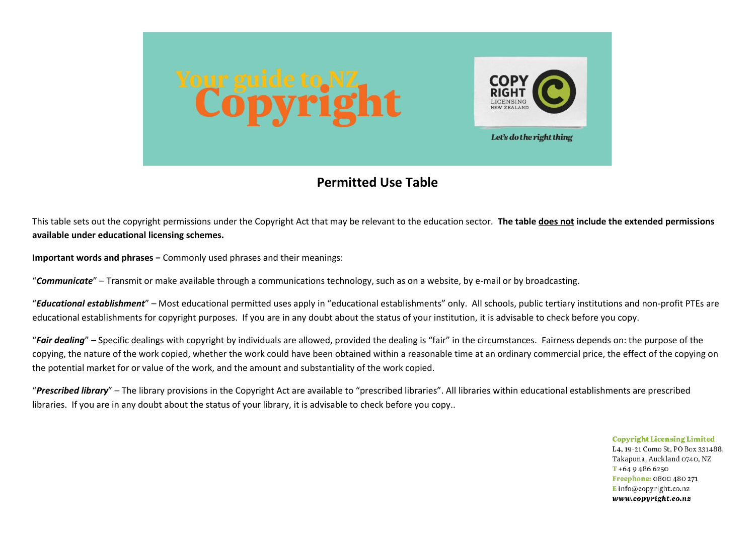

## **Permitted Use Table**

This table sets out the copyright permissions under the Copyright Act that may be relevant to the education sector. **The table does not include the extended permissions available under educational licensing schemes.**

**Important words and phrases −** Commonly used phrases and their meanings:

"*Communicate*" – Transmit or make available through a communications technology, such as on a website, by e-mail or by broadcasting.

"*Educational establishment*" – Most educational permitted uses apply in "educational establishments" only. All schools, public tertiary institutions and non-profit PTEs are educational establishments for copyright purposes. If you are in any doubt about the status of your institution, it is advisable to check before you copy.

"*Fair dealing*" – Specific dealings with copyright by individuals are allowed, provided the dealing is "fair" in the circumstances. Fairness depends on: the purpose of the copying, the nature of the work copied, whether the work could have been obtained within a reasonable time at an ordinary commercial price, the effect of the copying on the potential market for or value of the work, and the amount and substantiality of the work copied.

"*Prescribed library*" – The library provisions in the Copyright Act are available to "prescribed libraries". All libraries within educational establishments are prescribed libraries. If you are in any doubt about the status of your library, it is advisable to check before you copy..

> **Copyright Licensing Limited** L4, 19-21 Como St, PO Box 331488. Takapuna, Auckland 0740, NZ  $T + 6494866250$ Freephone: 0800 480 271  $E$  info@copyright.co.nz www.copyright.co.nz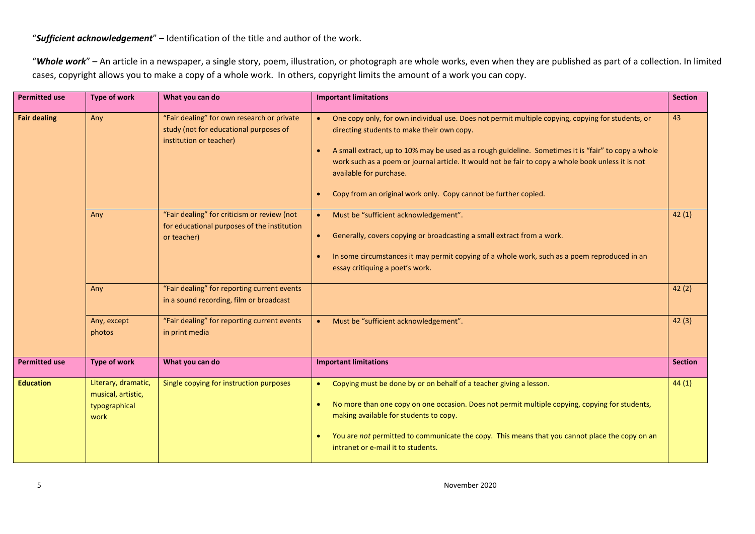## "*Sufficient acknowledgement*" – Identification of the title and author of the work.

"*Whole work*" – An article in a newspaper, a single story, poem, illustration, or photograph are whole works, even when they are published as part of a collection. In limited cases, copyright allows you to make a copy of a whole work. In others, copyright limits the amount of a work you can copy.

| <b>Permitted use</b> | <b>Type of work</b>                                                | What you can do                                                                                                 | <b>Important limitations</b>                                                                                                                                                                                                                                                                                                                                                                                                                                                         | <b>Section</b> |
|----------------------|--------------------------------------------------------------------|-----------------------------------------------------------------------------------------------------------------|--------------------------------------------------------------------------------------------------------------------------------------------------------------------------------------------------------------------------------------------------------------------------------------------------------------------------------------------------------------------------------------------------------------------------------------------------------------------------------------|----------------|
| <b>Fair dealing</b>  | Any                                                                | "Fair dealing" for own research or private<br>study (not for educational purposes of<br>institution or teacher) | One copy only, for own individual use. Does not permit multiple copying, copying for students, or<br>directing students to make their own copy.<br>A small extract, up to 10% may be used as a rough guideline. Sometimes it is "fair" to copy a whole<br>$\bullet$<br>work such as a poem or journal article. It would not be fair to copy a whole book unless it is not<br>available for purchase.<br>Copy from an original work only. Copy cannot be further copied.<br>$\bullet$ | 43             |
|                      | Any                                                                | "Fair dealing" for criticism or review (not<br>for educational purposes of the institution<br>or teacher)       | Must be "sufficient acknowledgement".<br>$\bullet$ .<br>Generally, covers copying or broadcasting a small extract from a work.<br>$\bullet$<br>In some circumstances it may permit copying of a whole work, such as a poem reproduced in an<br>essay critiquing a poet's work.                                                                                                                                                                                                       | 42(1)          |
|                      | Any                                                                | "Fair dealing" for reporting current events<br>in a sound recording, film or broadcast                          |                                                                                                                                                                                                                                                                                                                                                                                                                                                                                      | 42(2)          |
|                      | Any, except<br>photos                                              | "Fair dealing" for reporting current events<br>in print media                                                   | Must be "sufficient acknowledgement".<br>$\bullet$                                                                                                                                                                                                                                                                                                                                                                                                                                   | 42(3)          |
| <b>Permitted use</b> | <b>Type of work</b>                                                | What you can do                                                                                                 | <b>Important limitations</b>                                                                                                                                                                                                                                                                                                                                                                                                                                                         | <b>Section</b> |
| <b>Education</b>     | Literary, dramatic,<br>musical, artistic,<br>typographical<br>work | Single copying for instruction purposes                                                                         | Copying must be done by or on behalf of a teacher giving a lesson.<br>No more than one copy on one occasion. Does not permit multiple copying, copying for students,<br>making available for students to copy.<br>You are not permitted to communicate the copy. This means that you cannot place the copy on an<br>$\bullet$<br>intranet or e-mail it to students.                                                                                                                  | 44(1)          |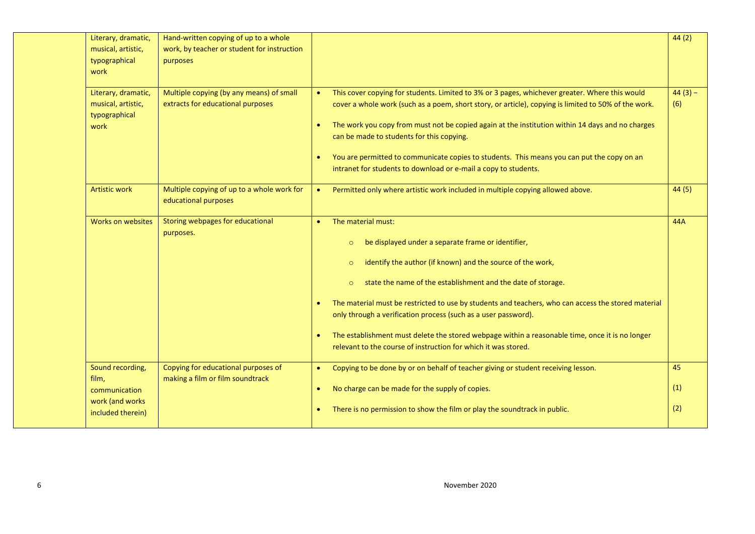| Literary, dramatic,<br>musical, artistic,<br>typographical<br>work | Hand-written copying of up to a whole<br>work, by teacher or student for instruction<br>purposes |                                     |                                                                                                                                                                                                                                                                                                                                                                                                                                                                                                                                                                                       | 44(2)            |
|--------------------------------------------------------------------|--------------------------------------------------------------------------------------------------|-------------------------------------|---------------------------------------------------------------------------------------------------------------------------------------------------------------------------------------------------------------------------------------------------------------------------------------------------------------------------------------------------------------------------------------------------------------------------------------------------------------------------------------------------------------------------------------------------------------------------------------|------------------|
| Literary, dramatic,<br>musical, artistic,<br>typographical<br>work | Multiple copying (by any means) of small<br>extracts for educational purposes                    | $\bullet$<br>$\bullet$<br>$\bullet$ | This cover copying for students. Limited to 3% or 3 pages, whichever greater. Where this would<br>cover a whole work (such as a poem, short story, or article), copying is limited to 50% of the work.<br>The work you copy from must not be copied again at the institution within 14 days and no charges<br>can be made to students for this copying.<br>You are permitted to communicate copies to students. This means you can put the copy on an<br>intranet for students to download or e-mail a copy to students.                                                              | $44(3) -$<br>(6) |
| <b>Artistic work</b>                                               | Multiple copying of up to a whole work for<br>educational purposes                               |                                     | Permitted only where artistic work included in multiple copying allowed above.                                                                                                                                                                                                                                                                                                                                                                                                                                                                                                        | 44(5)            |
| Works on websites                                                  | Storing webpages for educational<br>purposes.                                                    | $\bullet$<br>$\bullet$              | The material must:<br>be displayed under a separate frame or identifier,<br>$\circ$<br>identify the author (if known) and the source of the work,<br>$\circ$<br>state the name of the establishment and the date of storage.<br>$\circ$<br>The material must be restricted to use by students and teachers, who can access the stored material<br>only through a verification process (such as a user password).<br>The establishment must delete the stored webpage within a reasonable time, once it is no longer<br>relevant to the course of instruction for which it was stored. | <b>44A</b>       |
| Sound recording,<br>film,                                          | Copying for educational purposes of<br>making a film or film soundtrack                          | $\bullet$                           | Copying to be done by or on behalf of teacher giving or student receiving lesson.                                                                                                                                                                                                                                                                                                                                                                                                                                                                                                     | 45               |
| communication<br>work (and works)                                  |                                                                                                  | $\bullet$                           | No charge can be made for the supply of copies.                                                                                                                                                                                                                                                                                                                                                                                                                                                                                                                                       | (1)              |
| included therein)                                                  |                                                                                                  |                                     | There is no permission to show the film or play the soundtrack in public.                                                                                                                                                                                                                                                                                                                                                                                                                                                                                                             | (2)              |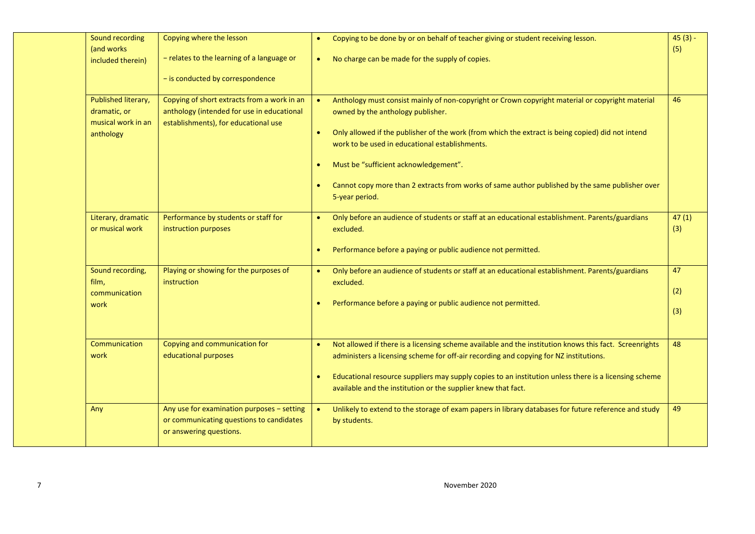| Sound recording                                           | Copying where the lesson                                                                                                          |           | Copying to be done by or on behalf of teacher giving or student receiving lesson.                                                                                                               | $45(3) -$ |
|-----------------------------------------------------------|-----------------------------------------------------------------------------------------------------------------------------------|-----------|-------------------------------------------------------------------------------------------------------------------------------------------------------------------------------------------------|-----------|
| (and works)<br>included therein)                          | - relates to the learning of a language or<br>- is conducted by correspondence                                                    | $\bullet$ | No charge can be made for the supply of copies.                                                                                                                                                 | (5)       |
|                                                           |                                                                                                                                   |           |                                                                                                                                                                                                 |           |
| Published literary,<br>dramatic, or<br>musical work in an | Copying of short extracts from a work in an<br>anthology (intended for use in educational<br>establishments), for educational use |           | Anthology must consist mainly of non-copyright or Crown copyright material or copyright material<br>owned by the anthology publisher.                                                           | 46        |
| anthology                                                 |                                                                                                                                   | $\bullet$ | Only allowed if the publisher of the work (from which the extract is being copied) did not intend<br>work to be used in educational establishments.                                             |           |
|                                                           |                                                                                                                                   | $\bullet$ | Must be "sufficient acknowledgement".                                                                                                                                                           |           |
|                                                           |                                                                                                                                   |           | Cannot copy more than 2 extracts from works of same author published by the same publisher over<br>5-year period.                                                                               |           |
| Literary, dramatic                                        | Performance by students or staff for                                                                                              |           | Only before an audience of students or staff at an educational establishment. Parents/guardians                                                                                                 | 47(1)     |
| or musical work                                           | instruction purposes                                                                                                              |           | excluded.                                                                                                                                                                                       | (3)       |
|                                                           |                                                                                                                                   | $\bullet$ | Performance before a paying or public audience not permitted.                                                                                                                                   |           |
| Sound recording,                                          | Playing or showing for the purposes of<br>instruction                                                                             | $\bullet$ | Only before an audience of students or staff at an educational establishment. Parents/guardians                                                                                                 | 47        |
| film,<br>communication                                    |                                                                                                                                   |           | excluded.                                                                                                                                                                                       | (2)       |
| work                                                      |                                                                                                                                   |           | Performance before a paying or public audience not permitted.                                                                                                                                   | (3)       |
|                                                           |                                                                                                                                   |           |                                                                                                                                                                                                 |           |
| Communication<br>work                                     | Copying and communication for<br>educational purposes                                                                             | $\bullet$ | Not allowed if there is a licensing scheme available and the institution knows this fact. Screenrights<br>administers a licensing scheme for off-air recording and copying for NZ institutions. | 48        |
|                                                           |                                                                                                                                   | $\bullet$ | Educational resource suppliers may supply copies to an institution unless there is a licensing scheme<br>available and the institution or the supplier knew that fact.                          |           |
| Any                                                       | Any use for examination purposes - setting<br>or communicating questions to candidates<br>or answering questions.                 |           | Unlikely to extend to the storage of exam papers in library databases for future reference and study<br>by students.                                                                            | 49        |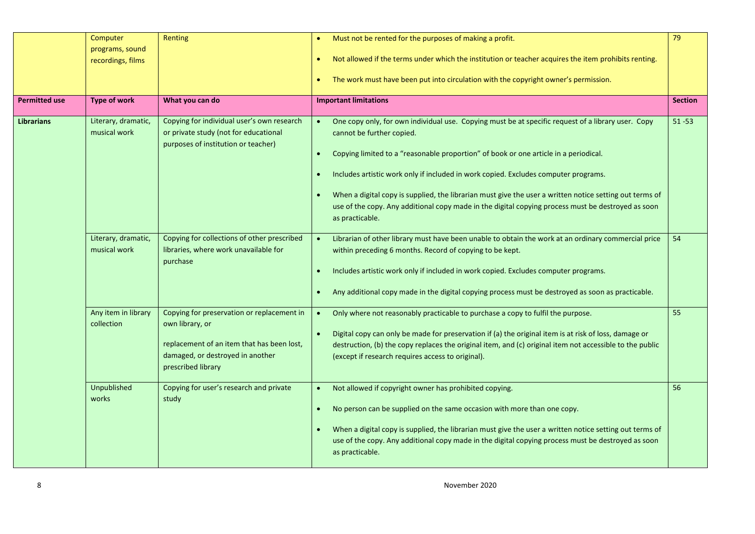|                      | Computer<br>programs, sound<br>recordings, films | Renting                                                                                                                                                               | Must not be rented for the purposes of making a profit.<br>$\bullet$<br>Not allowed if the terms under which the institution or teacher acquires the item prohibits renting.<br>۰<br>The work must have been put into circulation with the copyright owner's permission.<br>$\bullet$                                                                                                                                                                                                                                                              | 79             |
|----------------------|--------------------------------------------------|-----------------------------------------------------------------------------------------------------------------------------------------------------------------------|----------------------------------------------------------------------------------------------------------------------------------------------------------------------------------------------------------------------------------------------------------------------------------------------------------------------------------------------------------------------------------------------------------------------------------------------------------------------------------------------------------------------------------------------------|----------------|
| <b>Permitted use</b> | <b>Type of work</b>                              | What you can do                                                                                                                                                       | <b>Important limitations</b>                                                                                                                                                                                                                                                                                                                                                                                                                                                                                                                       | <b>Section</b> |
| <b>Librarians</b>    | Literary, dramatic,<br>musical work              | Copying for individual user's own research<br>or private study (not for educational<br>purposes of institution or teacher)                                            | One copy only, for own individual use. Copying must be at specific request of a library user. Copy<br>cannot be further copied.<br>Copying limited to a "reasonable proportion" of book or one article in a periodical.<br>Includes artistic work only if included in work copied. Excludes computer programs.<br>When a digital copy is supplied, the librarian must give the user a written notice setting out terms of<br>use of the copy. Any additional copy made in the digital copying process must be destroyed as soon<br>as practicable. | $51 - 53$      |
|                      | Literary, dramatic,<br>musical work              | Copying for collections of other prescribed<br>libraries, where work unavailable for<br>purchase                                                                      | Librarian of other library must have been unable to obtain the work at an ordinary commercial price<br>within preceding 6 months. Record of copying to be kept.<br>Includes artistic work only if included in work copied. Excludes computer programs.<br>Any additional copy made in the digital copying process must be destroyed as soon as practicable.                                                                                                                                                                                        | 54             |
|                      | Any item in library<br>collection                | Copying for preservation or replacement in<br>own library, or<br>replacement of an item that has been lost,<br>damaged, or destroyed in another<br>prescribed library | Only where not reasonably practicable to purchase a copy to fulfil the purpose.<br>$\bullet$<br>Digital copy can only be made for preservation if (a) the original item is at risk of loss, damage or<br>destruction, (b) the copy replaces the original item, and (c) original item not accessible to the public<br>(except if research requires access to original).                                                                                                                                                                             | 55             |
|                      | Unpublished<br>works                             | Copying for user's research and private<br>study                                                                                                                      | Not allowed if copyright owner has prohibited copying.<br>$\bullet$<br>No person can be supplied on the same occasion with more than one copy.<br>$\bullet$<br>When a digital copy is supplied, the librarian must give the user a written notice setting out terms of<br>use of the copy. Any additional copy made in the digital copying process must be destroyed as soon<br>as practicable.                                                                                                                                                    | 56             |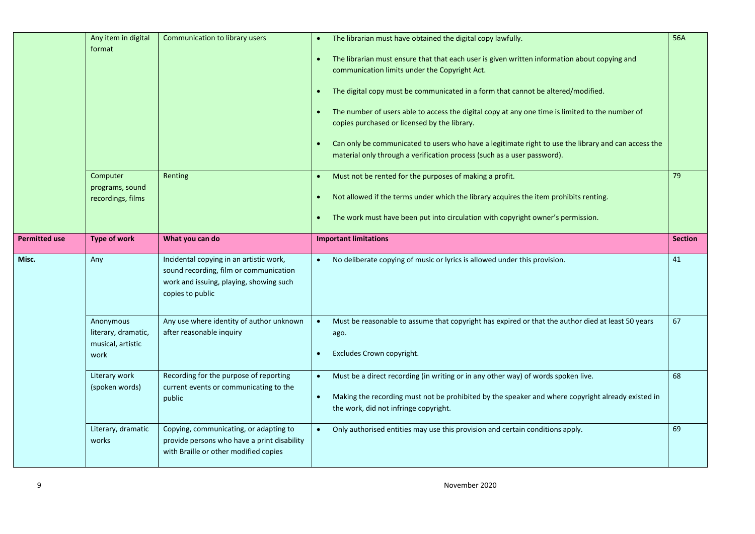|                      | Any item in digital<br>format<br>Computer<br>programs, sound<br>recordings, films | Communication to library users<br>Renting                                                                                                        | The librarian must have obtained the digital copy lawfully.<br>The librarian must ensure that that each user is given written information about copying and<br>$\bullet$<br>communication limits under the Copyright Act.<br>The digital copy must be communicated in a form that cannot be altered/modified.<br>$\bullet$<br>The number of users able to access the digital copy at any one time is limited to the number of<br>copies purchased or licensed by the library.<br>Can only be communicated to users who have a legitimate right to use the library and can access the<br>material only through a verification process (such as a user password).<br>Must not be rented for the purposes of making a profit.<br>$\bullet$<br>Not allowed if the terms under which the library acquires the item prohibits renting.<br>The work must have been put into circulation with copyright owner's permission. | <b>56A</b><br>79 |
|----------------------|-----------------------------------------------------------------------------------|--------------------------------------------------------------------------------------------------------------------------------------------------|---------------------------------------------------------------------------------------------------------------------------------------------------------------------------------------------------------------------------------------------------------------------------------------------------------------------------------------------------------------------------------------------------------------------------------------------------------------------------------------------------------------------------------------------------------------------------------------------------------------------------------------------------------------------------------------------------------------------------------------------------------------------------------------------------------------------------------------------------------------------------------------------------------------------|------------------|
|                      |                                                                                   |                                                                                                                                                  |                                                                                                                                                                                                                                                                                                                                                                                                                                                                                                                                                                                                                                                                                                                                                                                                                                                                                                                     |                  |
| <b>Permitted use</b> | <b>Type of work</b>                                                               | What you can do                                                                                                                                  | <b>Important limitations</b>                                                                                                                                                                                                                                                                                                                                                                                                                                                                                                                                                                                                                                                                                                                                                                                                                                                                                        | <b>Section</b>   |
| Misc.                | Any                                                                               | Incidental copying in an artistic work,<br>sound recording, film or communication<br>work and issuing, playing, showing such<br>copies to public | No deliberate copying of music or lyrics is allowed under this provision.                                                                                                                                                                                                                                                                                                                                                                                                                                                                                                                                                                                                                                                                                                                                                                                                                                           | 41               |
|                      | Anonymous<br>literary, dramatic,<br>musical, artistic<br>work                     | Any use where identity of author unknown<br>after reasonable inquiry                                                                             | Must be reasonable to assume that copyright has expired or that the author died at least 50 years<br>ago.<br>Excludes Crown copyright.<br>$\bullet$                                                                                                                                                                                                                                                                                                                                                                                                                                                                                                                                                                                                                                                                                                                                                                 | 67               |
|                      | Literary work<br>(spoken words)                                                   | Recording for the purpose of reporting<br>current events or communicating to the<br>public                                                       | Must be a direct recording (in writing or in any other way) of words spoken live.<br>Making the recording must not be prohibited by the speaker and where copyright already existed in<br>$\bullet$<br>the work, did not infringe copyright.                                                                                                                                                                                                                                                                                                                                                                                                                                                                                                                                                                                                                                                                        | 68               |
|                      |                                                                                   |                                                                                                                                                  |                                                                                                                                                                                                                                                                                                                                                                                                                                                                                                                                                                                                                                                                                                                                                                                                                                                                                                                     |                  |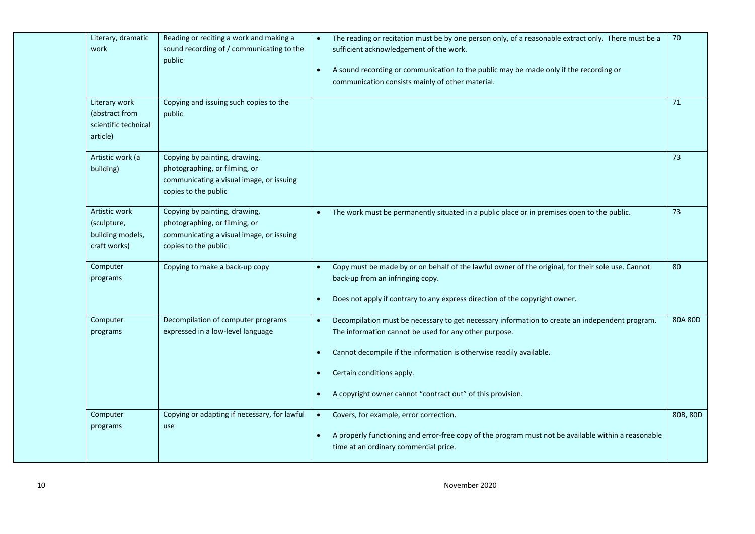| work                 | Literary, dramatic                                      | Reading or reciting a work and making a<br>sound recording of / communicating to the<br>public                                     | The reading or recitation must be by one person only, of a reasonable extract only. There must be a<br>$\bullet$<br>sufficient acknowledgement of the work.<br>A sound recording or communication to the public may be made only if the recording or<br>$\bullet$<br>communication consists mainly of other material.                                                         | 70       |
|----------------------|---------------------------------------------------------|------------------------------------------------------------------------------------------------------------------------------------|-------------------------------------------------------------------------------------------------------------------------------------------------------------------------------------------------------------------------------------------------------------------------------------------------------------------------------------------------------------------------------|----------|
| article)             | Literary work<br>(abstract from<br>scientific technical | Copying and issuing such copies to the<br>public                                                                                   |                                                                                                                                                                                                                                                                                                                                                                               | 71       |
| building)            | Artistic work (a                                        | Copying by painting, drawing,<br>photographing, or filming, or<br>communicating a visual image, or issuing<br>copies to the public |                                                                                                                                                                                                                                                                                                                                                                               | 73       |
| (sculpture,          | Artistic work<br>building models,<br>craft works)       | Copying by painting, drawing,<br>photographing, or filming, or<br>communicating a visual image, or issuing<br>copies to the public | The work must be permanently situated in a public place or in premises open to the public.<br>$\bullet$                                                                                                                                                                                                                                                                       | 73       |
| Computer<br>programs |                                                         | Copying to make a back-up copy                                                                                                     | Copy must be made by or on behalf of the lawful owner of the original, for their sole use. Cannot<br>$\bullet$<br>back-up from an infringing copy.<br>Does not apply if contrary to any express direction of the copyright owner.<br>$\bullet$                                                                                                                                | 80       |
| Computer<br>programs |                                                         | Decompilation of computer programs<br>expressed in a low-level language                                                            | Decompilation must be necessary to get necessary information to create an independent program.<br>$\bullet$<br>The information cannot be used for any other purpose.<br>Cannot decompile if the information is otherwise readily available.<br>$\bullet$<br>Certain conditions apply.<br>$\bullet$<br>A copyright owner cannot "contract out" of this provision.<br>$\bullet$ | 80A 80D  |
| Computer<br>programs |                                                         | Copying or adapting if necessary, for lawful<br>use                                                                                | Covers, for example, error correction.<br>$\bullet$<br>A properly functioning and error-free copy of the program must not be available within a reasonable<br>$\bullet$<br>time at an ordinary commercial price.                                                                                                                                                              | 80B, 80D |